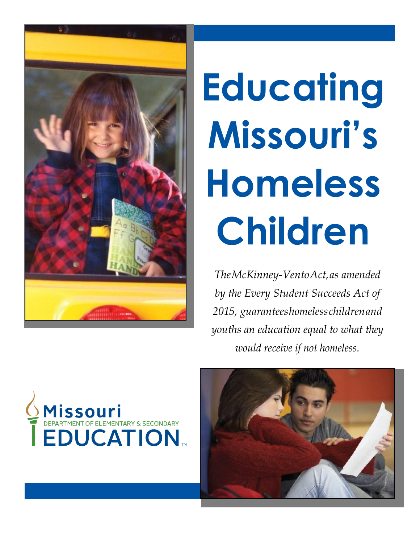

# **Educating Missouri's Homeless Children**

*TheMcKinney-VentoAct,as amended by the Every Student Succeeds Act of 2015, guaranteeshomelesschildrenand youths an education equal to what they would receive if not homeless.*



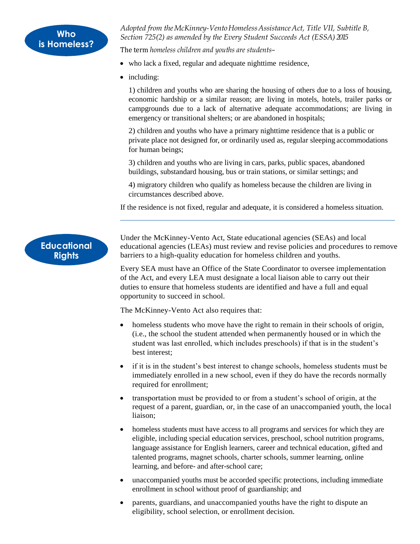*Adopted from theMcKinney-VentoHomelessAssistanceAct, Title VII, Subtitle B, Section 725(2) as amended by the Every Student Succeeds Act (ESSA) 2015*

The term *homeless children and youths are students*–

- who lack a fixed, regular and adequate nighttime residence,
- including:

1) children and youths who are sharing the housing of others due to a loss of housing, economic hardship or a similar reason; are living in motels, hotels, trailer parks or campgrounds due to a lack of alternative adequate accommodations; are living in emergency or transitional shelters; or are abandoned in hospitals;

2) children and youths who have a primary nighttime residence that is a public or private place not designed for, or ordinarily used as, regular sleeping accommodations for human beings;

3) children and youths who are living in cars, parks, public spaces, abandoned buildings, substandard housing, bus or train stations, or similar settings; and

4) migratory children who qualify as homeless because the children are living in circumstances described above.

If the residence is not fixed, regular and adequate, it is considered a homeless situation.



Under the McKinney-Vento Act, State educational agencies (SEAs) and local educational agencies (LEAs) must review and revise policies and procedures to remove barriers to a high-quality education for homeless children and youths.

Every SEA must have an Office of the State Coordinator to oversee implementation of the Act, and every LEA must designate a local liaison able to carry out their duties to ensure that homeless students are identified and have a full and equal opportunity to succeed in school.

The McKinney-Vento Act also requires that:

- homeless students who move have the right to remain in their schools of origin, (i.e., the school the student attended when permanently housed or in which the student was last enrolled, which includes preschools) if that is in the student's best interest;
- if it is in the student's best interest to change schools, homeless students must be immediately enrolled in a new school, even if they do have the records normally required for enrollment;
- transportation must be provided to or from a student's school of origin, at the request of a parent, guardian, or, in the case of an unaccompanied youth, the local liaison;
- homeless students must have access to all programs and services for which they are eligible, including special education services, preschool, school nutrition programs, language assistance for English learners, career and technical education, gifted and talented programs, magnet schools, charter schools, summer learning, online learning, and before- and after-school care;
- unaccompanied youths must be accorded specific protections, including immediate enrollment in school without proof of guardianship; and
- parents, guardians, and unaccompanied youths have the right to dispute an eligibility, school selection, or enrollment decision.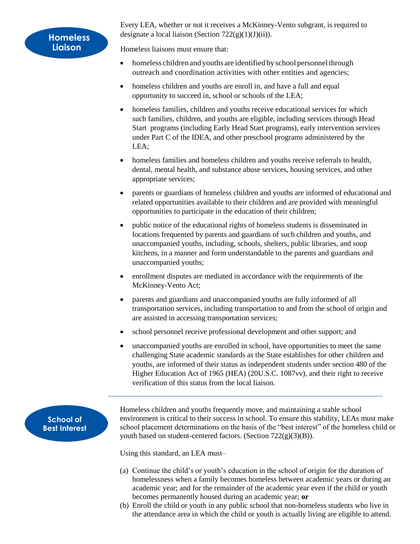Every LEA, whether or not it receives a McKinney-Vento subgrant, is required to designate a local liaison (Section  $722(g)(1)(J)(ii)$ ).

Homeless liaisons must ensure that:

- homeless children and youths are identified by school personnel through outreach and coordination activities with other entities and agencies;
- homeless children and youths are enroll in, and have a full and equal opportunity to succeed in, school or schools of the LEA;
- homeless families, children and youths receive educational services for which such families, children, and youths are eligible, including services through Head Start programs (including Early Head Start programs), early intervention services under Part C of the IDEA, and other preschool programs administered by the LEA;
- homeless families and homeless children and youths receive referrals to health, dental, mental health, and substance abuse services, housing services, and other appropriate services;
- parents or guardians of homeless children and youths are informed of educational and related opportunities available to their children and are provided with meaningful opportunities to participate in the education of their children;
- public notice of the educational rights of homeless students is disseminated in locations frequented by parents and guardians of such children and youths, and unaccompanied youths, including, schools, shelters, public libraries, and soup kitchens, in a manner and form understandable to the parents and guardians and unaccompanied youths;
- enrollment disputes are mediated in accordance with the requirements of the McKinney-Vento Act;
- parents and guardians and unaccompanied youths are fully informed of all transportation services, including transportation to and from the school of origin and are assisted in accessing transportation services;
- school personnel receive professional development and other support; and
- unaccompanied youths are enrolled in school, have opportunities to meet the same challenging State academic standards as the State establishes for other children and youths, are informed of their status as independent students under section 480 of the Higher Education Act of 1965 (HEA) (20U.S.C. 1087vv), and their right to receive verification of this status from the local liaison.

**School of Best Interest** Homeless children and youths frequently move, and maintaining a stable school environment is critical to their success in school. To ensure this stability, LEAs must make school placement determinations on the basis of the "best interest" of the homeless child or youth based on student-centered factors. (Section 722(g)(3)(B)).

Using this standard, an LEA must–

- (a) Continue the child's or youth's education in the school of origin for the duration of homelessness when a family becomes homeless between academic years or during an academic year; and for the remainder of the academic year even if the child or youth becomes permanently housed during an academic year; **or**
- (b) Enroll the child or youth in any public school that non-homeless students who live in the attendance area in which the child or youth is actually living are eligible to attend.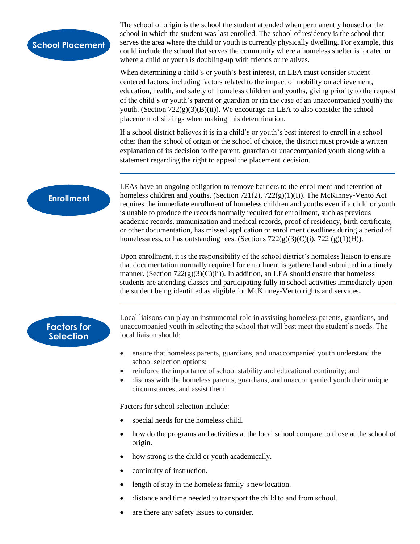

The school of origin is the school the student attended when permanently housed or the school in which the student was last enrolled. The school of residency is the school that serves the area where the child or youth is currently physically dwelling. For example, this could include the school that serves the community where a homeless shelter is located or where a child or youth is doubling-up with friends or relatives.

When determining a child's or youth's best interest, an LEA must consider studentcentered factors, including factors related to the impact of mobility on achievement, education, health, and safety of homeless children and youths, giving priority to the request of the child's or youth's parent or guardian or (in the case of an unaccompanied youth) the youth. (Section  $722(g)(3)(B)(ii)$ ). We encourage an LEA to also consider the school placement of siblings when making this determination.

If a school district believes it is in a child's or youth's best interest to enroll in a school other than the school of origin or the school of choice, the district must provide a written explanation of its decision to the parent, guardian or unaccompanied youth along with a statement regarding the right to appeal the placement decision.

### **Enrollment**

LEAs have an ongoing obligation to remove barriers to the enrollment and retention of homeless children and youths. (Section 721(2), 722(g)(1)(I)). The McKinney-Vento Act requires the immediate enrollment of homeless children and youths even if a child or youth is unable to produce the records normally required for enrollment, such as previous academic records, immunization and medical records, proof of residency, birth certificate, or other documentation, has missed application or enrollment deadlines during a period of homelessness, or has outstanding fees. (Sections  $722(g)(3)(C)(i)$ ,  $722(g)(1)(H)$ ).

Upon enrollment, it is the responsibility of the school district's homeless liaison to ensure that documentation normally required for enrollment is gathered and submitted in a timely manner. (Section  $722(g)(3)(C)(ii)$ ). In addition, an LEA should ensure that homeless students are attending classes and participating fully in school activities immediately upon the student being identified as eligible for McKinney-Vento rights and services**.**

### **Factors for Selection**

Local liaisons can play an instrumental role in assisting homeless parents, guardians, and unaccompanied youth in selecting the school that will best meet the student's needs. The local liaison should:

- ensure that homeless parents, guardians, and unaccompanied youth understand the school selection options;
- reinforce the importance of school stability and educational continuity; and
- discuss with the homeless parents, guardians, and unaccompanied youth their unique circumstances, and assist them

Factors for school selection include:

- special needs for the homeless child.
- how do the programs and activities at the local school compare to those at the school of origin.
- how strong is the child or youth academically.
- continuity of instruction.
- length of stay in the homeless family's new location.
- distance and time needed to transport the child to and from school.
- are there any safety issues to consider.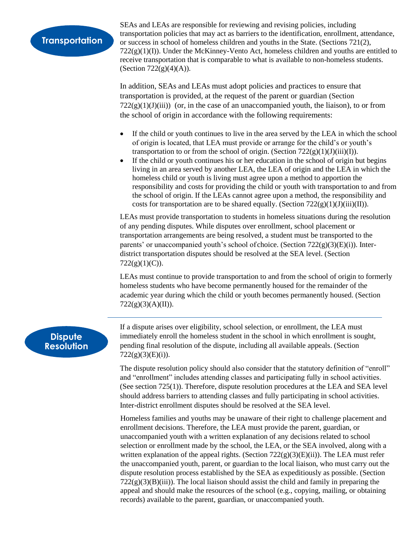# **Transportation**

SEAs and LEAs are responsible for reviewing and revising policies, including transportation policies that may act as barriers to the identification, enrollment, attendance, or success in school of homeless children and youths in the State. (Sections 721(2),  $722(g)(1)(I)$ ). Under the McKinney-Vento Act, homeless children and youths are entitled to receive transportation that is comparable to what is available to non-homeless students. (Section  $722(g)(4)(A)$ ).

In addition, SEAs and LEAs must adopt policies and practices to ensure that transportation is provided, at the request of the parent or guardian (Section  $722(g)(1)(J)(iii)$  (or, in the case of an unaccompanied youth, the liaison), to or from the school of origin in accordance with the following requirements:

- If the child or youth continues to live in the area served by the LEA in which the school of origin is located, that LEA must provide or arrange for the child's or youth's transportation to or from the school of origin. (Section  $722(g)(1)(J)(iii)(I)$ ).
- If the child or youth continues his or her education in the school of origin but begins living in an area served by another LEA, the LEA of origin and the LEA in which the homeless child or youth is living must agree upon a method to apportion the responsibility and costs for providing the child or youth with transportation to and from the school of origin. If the LEAs cannot agree upon a method, the responsibility and costs for transportation are to be shared equally. (Section  $722(g)(1)(J)(iii)(II)$ ).

LEAs must provide transportation to students in homeless situations during the resolution of any pending disputes. While disputes over enrollment, school placement or transportation arrangements are being resolved, a student must be transported to the parents' or unaccompanied youth's school of choice. (Section 722(g)(3)(E)(i)). Interdistrict transportation disputes should be resolved at the SEA level. (Section  $722(g)(1)(C)$ ).

LEAs must continue to provide transportation to and from the school of origin to formerly homeless students who have become permanently housed for the remainder of the academic year during which the child or youth becomes permanently housed. (Section  $722(g)(3)(A)(II)$ ).

## **Dispute Resolution**

If a dispute arises over eligibility, school selection, or enrollment, the LEA must immediately enroll the homeless student in the school in which enrollment is sought, pending final resolution of the dispute, including all available appeals. (Section  $722(g)(3)(E)(i)).$ 

The dispute resolution policy should also consider that the statutory definition of "enroll" and "enrollment" includes attending classes and participating fully in school activities. (See section 725(1)). Therefore, dispute resolution procedures at the LEA and SEA level should address barriers to attending classes and fully participating in school activities. Inter-district enrollment disputes should be resolved at the SEA level.

Homeless families and youths may be unaware of their right to challenge placement and enrollment decisions. Therefore, the LEA must provide the parent, guardian, or unaccompanied youth with a written explanation of any decisions related to school selection or enrollment made by the school, the LEA, or the SEA involved, along with a written explanation of the appeal rights. (Section  $722(g)(3)(E)(ii)$ ). The LEA must refer the unaccompanied youth, parent, or guardian to the local liaison, who must carry out the dispute resolution process established by the SEA as expeditiously as possible. (Section  $722(g)(3)(B)(iii)$ ). The local liaison should assist the child and family in preparing the appeal and should make the resources of the school (e.g., copying, mailing, or obtaining records) available to the parent, guardian, or unaccompanied youth.